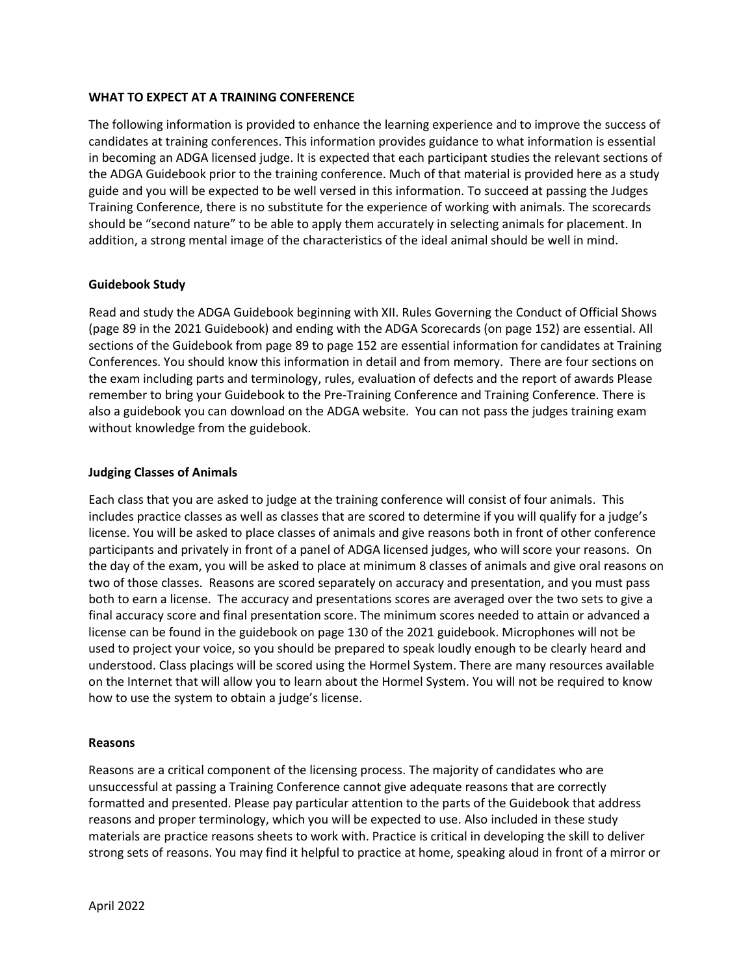## **WHAT TO EXPECT AT A TRAINING CONFERENCE**

The following information is provided to enhance the learning experience and to improve the success of candidates at training conferences. This information provides guidance to what information is essential in becoming an ADGA licensed judge. It is expected that each participant studies the relevant sections of the ADGA Guidebook prior to the training conference. Much of that material is provided here as a study guide and you will be expected to be well versed in this information. To succeed at passing the Judges Training Conference, there is no substitute for the experience of working with animals. The scorecards should be "second nature" to be able to apply them accurately in selecting animals for placement. In addition, a strong mental image of the characteristics of the ideal animal should be well in mind.

# **Guidebook Study**

Read and study the ADGA Guidebook beginning with XII. Rules Governing the Conduct of Official Shows (page 89 in the 2021 Guidebook) and ending with the ADGA Scorecards (on page 152) are essential. All sections of the Guidebook from page 89 to page 152 are essential information for candidates at Training Conferences. You should know this information in detail and from memory. There are four sections on the exam including parts and terminology, rules, evaluation of defects and the report of awards Please remember to bring your Guidebook to the Pre-Training Conference and Training Conference. There is also a guidebook you can download on the ADGA website. You can not pass the judges training exam without knowledge from the guidebook.

## **Judging Classes of Animals**

Each class that you are asked to judge at the training conference will consist of four animals. This includes practice classes as well as classes that are scored to determine if you will qualify for a judge's license. You will be asked to place classes of animals and give reasons both in front of other conference participants and privately in front of a panel of ADGA licensed judges, who will score your reasons. On the day of the exam, you will be asked to place at minimum 8 classes of animals and give oral reasons on two of those classes. Reasons are scored separately on accuracy and presentation, and you must pass both to earn a license. The accuracy and presentations scores are averaged over the two sets to give a final accuracy score and final presentation score. The minimum scores needed to attain or advanced a license can be found in the guidebook on page 130 of the 2021 guidebook. Microphones will not be used to project your voice, so you should be prepared to speak loudly enough to be clearly heard and understood. Class placings will be scored using the Hormel System. There are many resources available on the Internet that will allow you to learn about the Hormel System. You will not be required to know how to use the system to obtain a judge's license.

### **Reasons**

Reasons are a critical component of the licensing process. The majority of candidates who are unsuccessful at passing a Training Conference cannot give adequate reasons that are correctly formatted and presented. Please pay particular attention to the parts of the Guidebook that address reasons and proper terminology, which you will be expected to use. Also included in these study materials are practice reasons sheets to work with. Practice is critical in developing the skill to deliver strong sets of reasons. You may find it helpful to practice at home, speaking aloud in front of a mirror or